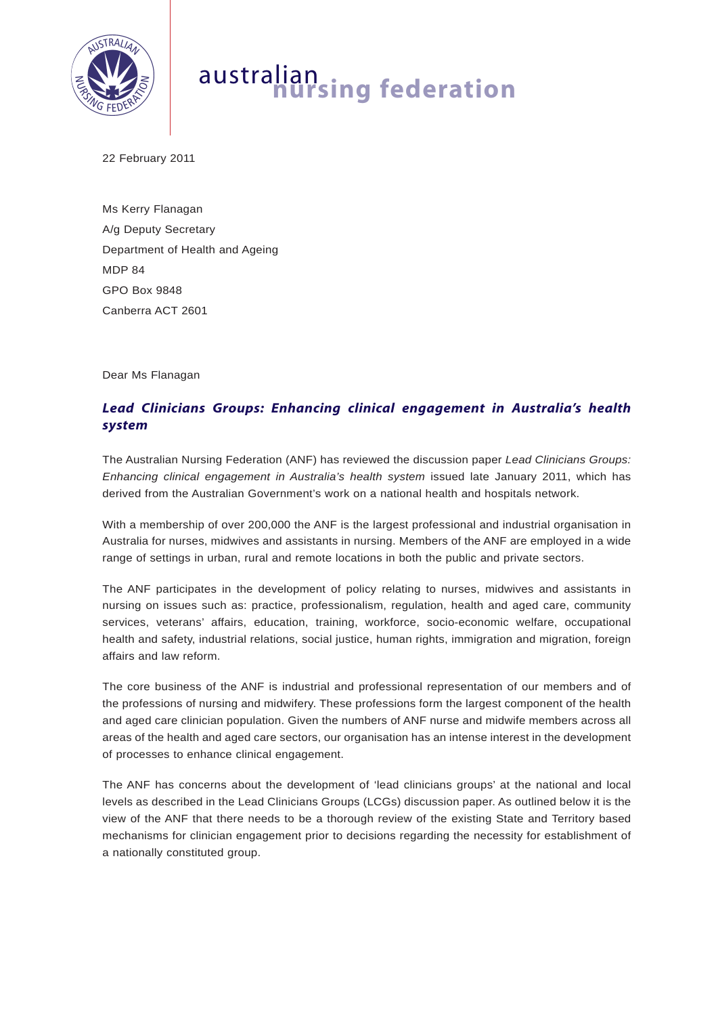

## australian **nursing federation**

22 February 2011

Ms Kerry Flanagan A/g Deputy Secretary Department of Health and Ageing MDP 84 GPO Box 9848 Canberra ACT 2601

Dear Ms Flanagan

## *Lead Clinicians Groups: Enhancing clinical engagement in Australia's health system*

The Australian Nursing Federation (ANF) has reviewed the discussion paper *Lead Clinicians Groups: Enhancing clinical engagement in Australia's health system* issued late January 2011, which has derived from the Australian Government's work on a national health and hospitals network.

With a membership of over 200,000 the ANF is the largest professional and industrial organisation in Australia for nurses, midwives and assistants in nursing. Members of the ANF are employed in a wide range of settings in urban, rural and remote locations in both the public and private sectors.

The ANF participates in the development of policy relating to nurses, midwives and assistants in nursing on issues such as: practice, professionalism, regulation, health and aged care, community services, veterans' affairs, education, training, workforce, socio-economic welfare, occupational health and safety, industrial relations, social justice, human rights, immigration and migration, foreign affairs and law reform.

The core business of the ANF is industrial and professional representation of our members and of the professions of nursing and midwifery. These professions form the largest component of the health and aged care clinician population. Given the numbers of ANF nurse and midwife members across all areas of the health and aged care sectors, our organisation has an intense interest in the development of processes to enhance clinical engagement.

The ANF has concerns about the development of 'lead clinicians groups' at the national and local levels as described in the Lead Clinicians Groups (LCGs) discussion paper. As outlined below it is the view of the ANF that there needs to be a thorough review of the existing State and Territory based mechanisms for clinician engagement prior to decisions regarding the necessity for establishment of a nationally constituted group.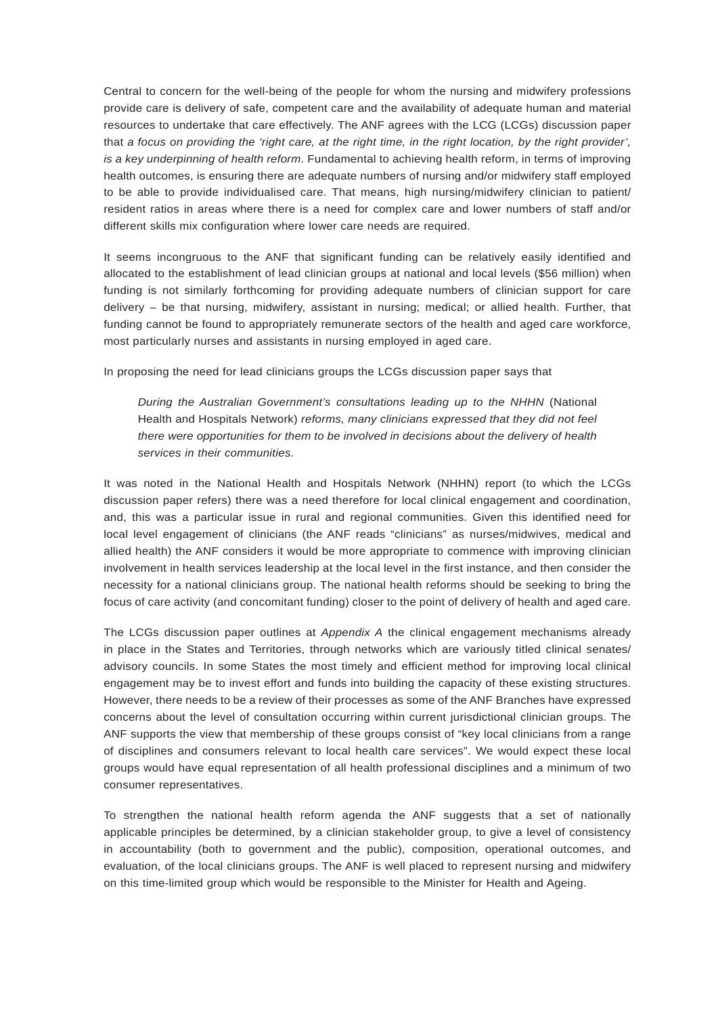Central to concern for the well-being of the people for whom the nursing and midwifery professions provide care is delivery of safe, competent care and the availability of adequate human and material resources to undertake that care effectively. The ANF agrees with the LCG (LCGs) discussion paper that *a focus on providing the 'right care, at the right time, in the right location, by the right provider', is a key underpinning of health reform*. Fundamental to achieving health reform, in terms of improving health outcomes, is ensuring there are adequate numbers of nursing and/or midwifery staff employed to be able to provide individualised care. That means, high nursing/midwifery clinician to patient/ resident ratios in areas where there is a need for complex care and lower numbers of staff and/or different skills mix configuration where lower care needs are required.

It seems incongruous to the ANF that significant funding can be relatively easily identified and allocated to the establishment of lead clinician groups at national and local levels (\$56 million) when funding is not similarly forthcoming for providing adequate numbers of clinician support for care delivery – be that nursing, midwifery, assistant in nursing; medical; or allied health. Further, that funding cannot be found to appropriately remunerate sectors of the health and aged care workforce, most particularly nurses and assistants in nursing employed in aged care.

In proposing the need for lead clinicians groups the LCGs discussion paper says that

*During the Australian Government's consultations leading up to the NHHN* (National Health and Hospitals Network) *reforms, many clinicians expressed that they did not feel there were opportunities for them to be involved in decisions about the delivery of health services in their communities.* 

It was noted in the National Health and Hospitals Network (NHHN) report (to which the LCGs discussion paper refers) there was a need therefore for local clinical engagement and coordination, and, this was a particular issue in rural and regional communities. Given this identified need for local level engagement of clinicians (the ANF reads "clinicians" as nurses/midwives, medical and allied health) the ANF considers it would be more appropriate to commence with improving clinician involvement in health services leadership at the local level in the first instance, and then consider the necessity for a national clinicians group. The national health reforms should be seeking to bring the focus of care activity (and concomitant funding) closer to the point of delivery of health and aged care.

The LCGs discussion paper outlines at *Appendix A* the clinical engagement mechanisms already in place in the States and Territories, through networks which are variously titled clinical senates/ advisory councils. In some States the most timely and efficient method for improving local clinical engagement may be to invest effort and funds into building the capacity of these existing structures. However, there needs to be a review of their processes as some of the ANF Branches have expressed concerns about the level of consultation occurring within current jurisdictional clinician groups. The ANF supports the view that membership of these groups consist of "key local clinicians from a range of disciplines and consumers relevant to local health care services". We would expect these local groups would have equal representation of all health professional disciplines and a minimum of two consumer representatives.

To strengthen the national health reform agenda the ANF suggests that a set of nationally applicable principles be determined, by a clinician stakeholder group, to give a level of consistency in accountability (both to government and the public), composition, operational outcomes, and evaluation, of the local clinicians groups. The ANF is well placed to represent nursing and midwifery on this time-limited group which would be responsible to the Minister for Health and Ageing.